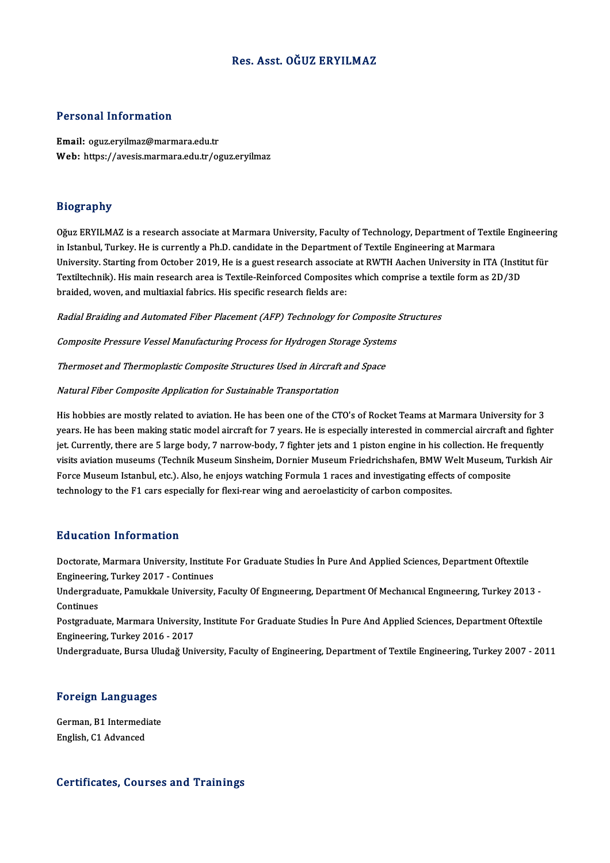# Res. Asst. OĞUZ ERYILMAZ

## Personal Information

Email: oguz.eryilmaz@marmara.edu.tr Web: https://avesis.marmara.edu.tr/oguz.eryilmaz

## Biography

Oğuz ERYILMAZ is a research associate at Marmara University, Faculty of Technology, Department of Textile Engineering in Istanbul, Turkey. He is currently a Ph.D. candidate in the Department of Textile Engineering at Marmara Oğuz ERYILMAZ is a research associate at Marmara University, Faculty of Technology, Department of Textile Engineerin<br>in Istanbul, Turkey. He is currently a Ph.D. candidate in the Department of Textile Engineering at Marmar in Istanbul, Turkey. He is currently a Ph.D. candidate in the Department of Textile Engineering at Marmara<br>University. Starting from October 2019, He is a guest research associate at RWTH Aachen University in ITA (Instit<br>T University. Starting from October 2019, He is a guest research associat<br>Textiltechnik). His main research area is Textile-Reinforced Composite<br>braided, woven, and multiaxial fabrics. His specific research fields are:

Radial Braiding and Automated Fiber Placement (AFP) Technology for Composite Structures

Composite Pressure Vessel Manufacturing Process for Hydrogen Storage Systems

Thermoset and Thermoplastic Composite Structures Used in Aircraft and Space

Natural Fiber Composite Application for Sustainable Transportation

His hobbies are mostly related to aviation. He has been one of the CTO's of Rocket Teams at Marmara University for 3 years. He has been making static model aircraft for 7 years. He is especially interested in commercial aircraft and fighter<br>years. He has been making static model aircraft for 7 years. He is especially interested in commer His hobbies are mostly related to aviation. He has been one of the CTO's of Rocket Teams at Marmara University for 3<br>years. He has been making static model aircraft for 7 years. He is especially interested in commercial ai years. He has been making static model aircraft for 7 years. He is especially interested in commercial aircraft and fighter<br>jet. Currently, there are 5 large body, 7 narrow-body, 7 fighter jets and 1 piston engine in his c jet. Currently, there are 5 large body, 7 narrow-body, 7 fighter jets and 1 piston engine in his collection. He free<br>visits aviation museums (Technik Museum Sinsheim, Dornier Museum Friedrichshafen, BMW Welt Museum, Tu<br>For visits aviation museums (Technik Museum Sinsheim, Dornier Museum Friedrichshafen, BMW W<br>Force Museum Istanbul, etc.). Also, he enjoys watching Formula 1 races and investigating effects<br>technology to the F1 cars especially technology to the F1 cars especially for flexi-rear wing and aeroelasticity of carbon composites.<br>Education Information

Doctorate, Marmara University, Institute For Graduate Studies İn Pure And Applied Sciences, Department Oftextile Eu a catron Tirror Inacron<br>Doctorate, Marmara University, Institu<br>Engineering, Turkey 2017 - Continues<br>Undergraduate, Bamuldrele University

Undergraduate, Pamukkale University, Faculty Of Engıneerıng, Department Of Mechanıcal Engıneerıng, Turkey 2013 -<br>Continues Engineerin<br>Undergrad<br>Continues<br>Postaredu Undergraduate, Pamukkale University, Faculty Of Engmeering, Department Of Mechanical Engineering, Turkey 2013 -<br>Continues<br>Postgraduate, Marmara University, Institute For Graduate Studies İn Pure And Applied Sciences, Depar

Continues<br>Postgraduate, Marmara University<br>Engineering, Turkey 2016 - 2017<br>Undergraduate, Burse Uludeğ Uni Postgraduate, Marmara University, Institute For Graduate Studies İn Pure And Applied Sciences, Department Oftextile<br>Engineering, Turkey 2016 - 2017<br>Undergraduate, Bursa Uludağ University, Faculty of Engineering, Department

Undergraduate, Bursa Uludağ University, Faculty of Engineering, Department of Textile Engineering, Turkey 2007 - 2011<br>Foreign Languages

Foreign Languages<br>German, B1 Intermediate<br>English C1 Advanced English, C1 Advanced<br>English, C1 Advanced

# English, C1 Advanced<br>Certificates, Courses and Trainings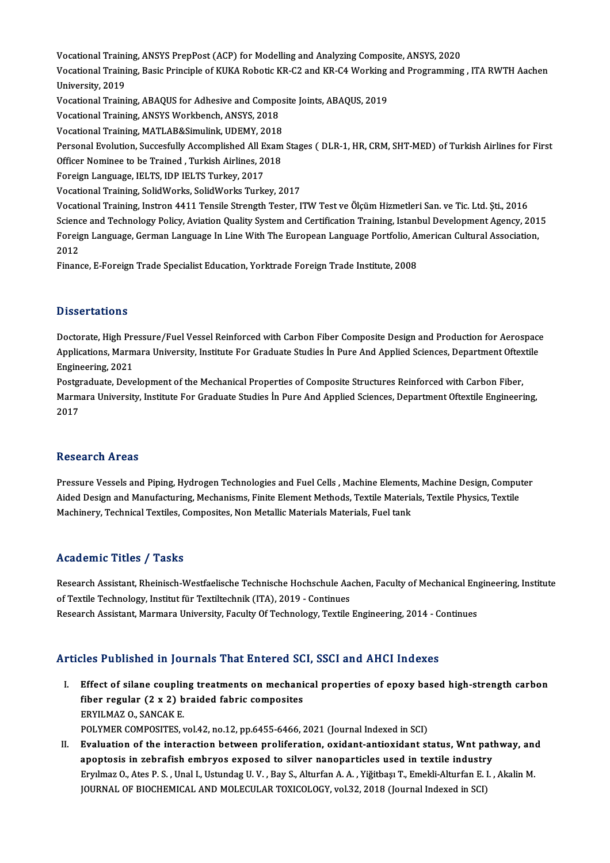Vocational Training, ANSYS PrepPost (ACP) for Modelling and Analyzing Composite, ANSYS, 2020<br>Vocational Training, Bosis Principle of KUKA Bebotis KB C2 and KB C4 Working and Pregramming Vocational Training, ANSYS PrepPost (ACP) for Modelling and Analyzing Composite, ANSYS, 2020<br>Vocational Training, Basic Principle of KUKA Robotic KR-C2 and KR-C4 Working and Programming , ITA RWTH Aachen Vocational Traini<br>Vocational Traini<br>University, 2019<br>Vocational Traini Vocational Training, Basic Principle of KUKA Robotic KR-C2 and KR-C4 Working<br>University, 2019<br>Vocational Training, ABAQUS for Adhesive and Composite Joints, ABAQUS, 2019<br>Vocational Training, ANSYS Workbonsh, ANSYS, 2019 University, 2019<br>Vocational Training, ABAQUS for Adhesive and Compo<br>Vocational Training, ANSYS Workbench, ANSYS, 2018<br>Vocational Training, MATLAR&Simulink, UDEMY, 2019 Vocational Training, ABAQUS for Adhesive and Compos<br>Vocational Training, ANSYS Workbench, ANSYS, 2018<br>Vocational Training, MATLAB&Simulink, UDEMY, 2018<br>Personal Evolution, Sussesfully Assemblished All Evam Vocational Training, ANSYS Workbench, ANSYS, 2018<br>Vocational Training, MATLAB&Simulink, UDEMY, 2018<br>Personal Evolution, Succesfully Accomplished All Exam Stages ( DLR-1, HR, CRM, SHT-MED) of Turkish Airlines for First<br>Offi Vocational Training, MATLAB&Simulink, UDEMY, 2018<br>Personal Evolution, Succesfully Accomplished All Exam<br>Officer Nominee to be Trained , Turkish Airlines, 2018<br>Fersian Language, JELTS, JDB JELTS Turkey, 2017 Personal Evolution, Succesfully Accomplished All E<br>Officer Nominee to be Trained , Turkish Airlines, 20<br>Foreign Language, IELTS, IDP IELTS Turkey, 2017<br>Vesstional Training, SolidWerks, SolidWerks Turk Officer Nominee to be Trained , Turkish Airlines, 2018<br>Foreign Language, IELTS, IDP IELTS Turkey, 2017<br>Vocational Training, SolidWorks, SolidWorks Turkey, 2017 Foreign Language, IELTS, IDP IELTS Turkey, 2017<br>Vocational Training, SolidWorks, SolidWorks Turkey, 2017<br>Vocational Training, Instron 4411 Tensile Strength Tester, ITW Test ve Ölçüm Hizmetleri San. ve Tic. Ltd. Şti., 2016 Vocational Training, SolidWorks, SolidWorks Turkey, 2017<br>Vocational Training, Instron 4411 Tensile Strength Tester, ITW Test ve Ölçüm Hizmetleri San. ve Tic. Ltd. Ști., 2016<br>Science and Technology Policy, Aviation Quality Vocational Training, Instron 4411 Tensile Strength Tester, ITW Test ve Ölçüm Hizmetleri San. ve Tic. Ltd. Şti., 2016<br>Science and Technology Policy, Aviation Quality System and Certification Training, Istanbul Development A Scienc<br>Foreig<br>2012<br>Einen Foreign Language, German Language In Line With The European Language Portfolio, Ai<br>2012<br>Finance, E-Foreign Trade Specialist Education, Yorktrade Foreign Trade Institute, 2008 Finance, E-Foreign Trade Specialist Education, Yorktrade Foreign Trade Institute, 2008<br>Dissertations

Dissertations<br>Doctorate, High Pressure/Fuel Vessel Reinforced with Carbon Fiber Composite Design and Production for Aerospace<br>Applications Marmara University Institute For Craduate Studies in Bure And Applied Sciences Depa Disbot cations<br>Doctorate, High Pressure/Fuel Vessel Reinforced with Carbon Fiber Composite Design and Production for Aerospac<br>Applications, Marmara University, Institute For Graduate Studies İn Pure And Applied Sciences, D Doctorate, High Pre<br>Applications, Marm<br>Engineering, 2021<br>Postareduate, Dove Applications, Marmara University, Institute For Graduate Studies İn Pure And Applied Sciences, Department Oftextile<br>Engineering, 2021<br>Postgraduate, Development of the Mechanical Properties of Composite Structures Reinforce

Engineering, 2021<br>Postgraduate, Development of the Mechanical Properties of Composite Structures Reinforced with Carbon Fiber,<br>Marmara University, Institute For Graduate Studies İn Pure And Applied Sciences, Department Oft Postgi<br>Marm<br>2017 2017<br>Research Areas

Pressure Vessels and Piping, Hydrogen Technologies and Fuel Cells, Machine Elements, Machine Design, Computer Ateseur en Arteus<br>Pressure Vessels and Piping, Hydrogen Technologies and Fuel Cells , Machine Elements, Machine Design, Comput<br>Machinewy Technical Textiles, Composites, Nop Metallis Materials Materials, Fuel tenk<br>Machinewy Pressure Vessels and Piping, Hydrogen Technologies and Fuel Cells , Machine Element<br>Aided Design and Manufacturing, Mechanisms, Finite Element Methods, Textile Materia<br>Machinery, Technical Textiles, Composites, Non Metalli Machinery, Technical Textiles, Composites, Non Metallic Materials Materials, Fuel tank<br>Academic Titles / Tasks

Research Assistant, Rheinisch-Westfaelische Technische Hochschule Aachen, Faculty of Mechanical Engineering, Institute of Textile Technology, Institut für Textiltechnik (ITA), 2019 - Continues Research Assistant, Marmara University, Faculty Of Technology, Textile Engineering, 2014 - Continues

# Articles Published in Journals That Entered SCI, SSCI and AHCI Indexes

- I. Effect of silane coupling treatments on mechanical properties of epoxy based high-strength carbon fiber regular coupling treatments on mechani<br>fiber regular (2 x 2) braided fabric composites<br>FPVU MAZ O SANGAV F Effect of silane couplin<br>fiber regular (2 x 2) b<br>ERYILMAZ 0., SANCAK E.<br>POLYMER COMPOSITES ERYILMAZ O., SANCAK E.<br>POLYMER COMPOSITES, vol.42, no.12, pp.6455-6466, 2021 (Journal Indexed in SCI) ERYILMAZ 0., SANCAK E.<br>POLYMER COMPOSITES, vol.42, no.12, pp.6455-6466, 2021 (Journal Indexed in SCI)<br>II. Evaluation of the interaction between proliferation, oxidant-antioxidant status, Wnt pathway, and<br>anontosis in sebra
- POLYMER COMPOSITES, vol.42, no.12, pp.6455-6466, 2021 (Journal Indexed in SCI)<br>Evaluation of the interaction between proliferation, oxidant-antioxidant status, Wnt pat!<br>apoptosis in zebrafish embryos exposed to silver nano apoptosis in zebrafish embryos exposed to silver nanoparticles used in textile industry<br>Eryılmaz O., Ates P.S. , Unal I., Ustundag U.V. , Bay S., Alturfan A. A. , Yiğitbaşı T., Emekli-Alturfan E. I. , Akalin M. JOURNAL OF BIOCHEMICAL AND MOLECULAR TOXICOLOGY, vol.32, 2018 (Journal Indexed in SCI)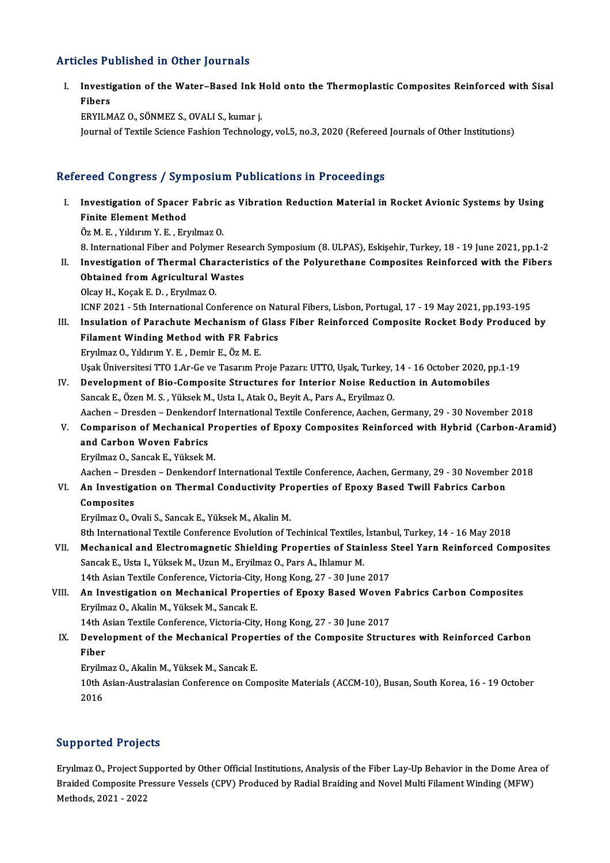# Articles Published in Other Journals

rticles Published in Other Journals<br>I. Investigation of the Water–Based Ink Hold onto the Thermoplastic Composites Reinforced with Sisal<br>Ribers Ites I<br>Investi<br>Fibers<br>EPVILM Fibers<br>ERYILMAZ O., SÖNMEZ S., OVALI S., kumar j.

Journal of Textile Science Fashion Technology, vol.5, no.3, 2020 (Refereed Journals of Other Institutions)

# Refereed Congress / Symposium Publications in Proceedings

efereed Congress / Symposium Publications in Proceedings<br>I. Investigation of Spacer Fabric as Vibration Reduction Material in Rocket Avionic Systems by Using<br>Finite Flement Method From Songross / Syn.<br>Investigation of Spacer<br>Finite Element Method Investigation of Spacer Fabric<br>Finite Element Method<br>Öz M. E. , Yıldırım Y. E. , Eryılmaz O.<br>9. International Eiber and Polymer 8. Finite Element Method<br>1972 - Öz M. E. , Yıldırım Y. E. , Eryılmaz O.<br>8. International Fiber and Polymer Research Symposium (8. ULPAS), Eskişehir, Turkey, 18 - 19 June 2021, pp.1-2 Oz M. E. , Yıldırım Y. E. , Eryılmaz O.<br>8. International Fiber and Polymer Research Symposium (8. ULPAS), Eskişehir, Turkey, 18 - 19 June 2021, pp.1-2<br>II. Investigation of Thermal Characteristics of the Polyurethane Compos **8. International Fiber and Polymer Rese**<br>Investigation of Thermal Character<br>Obtained from Agricultural Wastes<br>Olsay H. Kosak E. D., Ewrlmag O Investigation of Thermal Cha<br>Obtained from Agricultural W<br>Olcay H., Koçak E. D. , Eryılmaz O.<br>ICNE 2021 – Eth International Co. Obtained from Agricultural Wastes<br>Olcay H., Koçak E. D. , Eryılmaz O.<br>ICNF 2021 - 5th International Conference on Natural Fibers, Lisbon, Portugal, 17 - 19 May 2021, pp.193-195<br>Inaulation of Barashute Mosbanism of Class Fi

Olcay H., Koçak E. D. , Eryılmaz O.<br>ICNF 2021 - 5th International Conference on Natural Fibers, Lisbon, Portugal, 17 - 19 May 2021, pp.193-195<br>III. Insulation of Parachute Mechanism of Glass Fiber Reinforced Composite Rock ICNF 2021 - 5th International Conference on Na<br>Insulation of Parachute Mechanism of Glas<br>Filament Winding Method with FR Fabrics<br>Funlmaz O, Vilduum V, E., Damir E, Öz M, E. EryılmazO.,YıldırımY.E. ,Demir E.,ÖzM.E.

Uşak Üniversitesi TTO 1.Ar-Ge ve Tasarım Proje Pazarı: UTTO, Uşak, Turkey, 14 - 16 October 2020, pp.1-19

IV. Development of Bio-Composite Structures for Interior Noise Reduction in Automobiles Sancak E., Özen M. S., Yüksek M., Usta I., Atak O., Beyit A., Pars A., Eryilmaz O. Development of Bio-Composite Structures for Interior Noise Reduction in Automobiles<br>Sancak E., Özen M. S. , Yüksek M., Usta I., Atak O., Beyit A., Pars A., Eryilmaz O.<br>Aachen – Dresden – Denkendorf International Textile Co

V. Comparison of Mechanical Properties of Epoxy Composites Reinforced with Hybrid (Carbon-Aramid)<br>and Carbon Woven Fabrics Aachen – Dresden – Denkendor<br>Comparison of Mechanical I<br>and Carbon Woven Fabrics<br>Envilmaz O. Sancak E. Vüksek A

Ervilmaz O., Sancak E., Yüksek M.

Aachen–Dresden–Denkendorf InternationalTextileConference,Aachen,Germany,29 -30November 2018

Eryilmaz O., Sancak E., Yüksek M.<br>Aachen – Dresden – Denkendorf International Textile Conference, Aachen, Germany, 29 - 30 November<br>VI. An Investigation on Thermal Conductivity Properties of Epoxy Based Twill Fabrics C Aachen – Dre<br><mark>An Investiga</mark><br>Composites<br>Ervilmaz O. O An Investigation on Thermal Conductivity Pre<br>Composites<br>Eryilmaz O., Ovali S., Sancak E., Yüksek M., Akalin M.<br><sup>Oth</sup> International Tertile Conference Evolution of T Composites<br>Eryilmaz O., Ovali S., Sancak E., Yüksek M., Akalin M.<br>8th International Textile Conference Evolution of Techinical Textiles, İstanbul, Turkey, 14 - 16 May 2018<br>Meshanisal and Elestromagnatis Shielding Propertie

Eryilmaz O., Ovali S., Sancak E., Yüksek M., Akalin M.<br>8th International Textile Conference Evolution of Techinical Textiles, İstanbul, Turkey, 14 - 16 May 2018<br>VII. Mechanical and Electromagnetic Shielding Properties of S 8th International Textile Conference Evolution of Techinical Textiles,<br>Mechanical and Electromagnetic Shielding Properties of Stair<br>Sancak E., Usta I., Yüksek M., Uzun M., Eryilmaz O., Pars A., Ihlamur M.<br>14th Asian Textil Mechanical and Electromagnetic Shielding Properties of Stainless :<br>Sancak E., Usta I., Yüksek M., Uzun M., Eryilmaz O., Pars A., Ihlamur M.<br>14th Asian Textile Conference, Victoria-City, Hong Kong, 27 - 30 June 2017<br>An Inve Sancak E., Usta I., Yüksek M., Uzun M., Eryilmaz O., Pars A., Ihlamur M.<br>14th Asian Textile Conference, Victoria-City, Hong Kong, 27 - 30 June 2017<br>VIII. An Investigation on Mechanical Properties of Epoxy Based Woven Fabri

14th Asian Textile Conference, Victoria-City, Hong Kong, 27 - 30 June 2017<br>An Investigation on Mechanical Properties of Epoxy Based Woven<br>Eryilmaz O., Akalin M., Yüksek M., Sancak E. An Investigation on Mechanical Properties of Epoxy Based Woven<br>Eryilmaz O., Akalin M., Yüksek M., Sancak E.<br>14th Asian Textile Conference, Victoria-City, Hong Kong, 27 - 30 June 2017<br>Development of the Mechanical Propertie

14th Asian Textile Conference, Victoria-City, Hong Kong, 27 - 30 June 2017

IX. Development of the Mechanical Properties of the Composite Structures with Reinforced Carbon<br>Fiber Development of the Mechanical Prope<br>Fiber<br>Eryilmaz O., Akalin M., Yüksek M., Sancak E.<br>10th Asian Australasian Conferense en Con

10th Asian-Australasian Conference on Composite Materials (ACCM-10), Busan, South Korea, 16 - 19 October 2016 Eryilm<br>10th /<br>2016

## Supported Projects

Supported Projects<br>Eryılmaz O., Project Supported by Other Official Institutions, Analysis of the Fiber Lay-Up Behavior in the Dome Area of<br>Braided Composite Pressure Vessels (CPV) Produced by Bodial Preiding and Novel Mul Brylmaz O., Project Supported by Other Official Institutions, Analysis of the Fiber Lay-Up Behavior in the Dome Area<br>Braided Composite Pressure Vessels (CPV) Produced by Radial Braiding and Novel Multi Filament Winding (MF Eryılmaz O., Project Su<br>Braided Composite Pr<br>Methods, 2021 - 2022